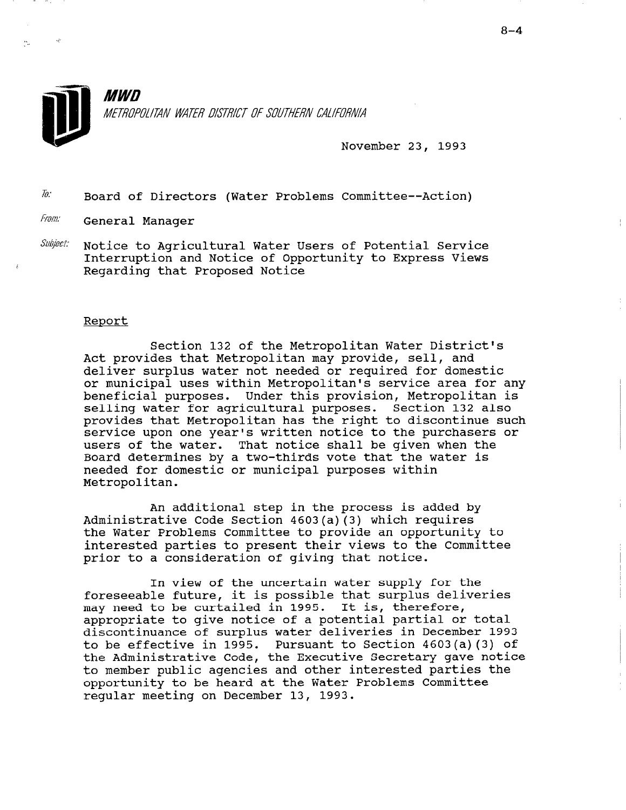

MWN METROPOLITAN WATER DISTRICT OF SOUTHERN CALIFORNIA

November 23, 1993

 $\bar{a}$ : Board of Directors (Water Problems Committee--Action)

From: General Manager

 $\textit{Subject:}$  Notice to Agricultural Water Users of Potential Service Interruption and Notice of Opportunity to Express Views Regarding that Proposed Notice

### Report

Section 132 of the Metropolitan Water District's Act provides that Metropolitan may provide, sell, and deliver surplus water not needed or required for domestic or municipal uses within Metropolitan's service area for any beneficial purposes. Under this provision, Metropolitan is selling water for agricultural purposes. Section 132 also provides that Metropolitan has the right to discontinue such service upon one year's written notice to the purchasers or users of the water. That notice shall be given when the Board determines by a two-thirds vote that the water is needed for domestic or municipal purposes within Metropolitan.

An additional step in the process is added by Administrative Code Section 4603(a)(3) which requires the Water Problems Committee to provide an opportunity to interested parties to present their views to the Committee prior to a consideration of giving that notice.

In view of the uncertain water supply for the IN VIEW OI CHE GHOET CAN WATEL SUPPLY TOT CHE may need to be curtailed in 1995. It is, therefore, the international to the control of may need to be curtaired in 1990. It is, therefore,<br>appropriate to give notice of a potential partial or tot: discontinuance of surplus water deliveries in December 1993 discontinuance of surplus water deliveries in December 1993<br>to be effective in 1995. Pursuant to Section 4603(a)(3) of the Administrative Code, the Executive Secretary gave notice the number public agencies and other interested parties the opportunity to be heard at the Water Problems Committee opportunity to be heard at the Water Problems Committee reqular meeting on December 13, 1993.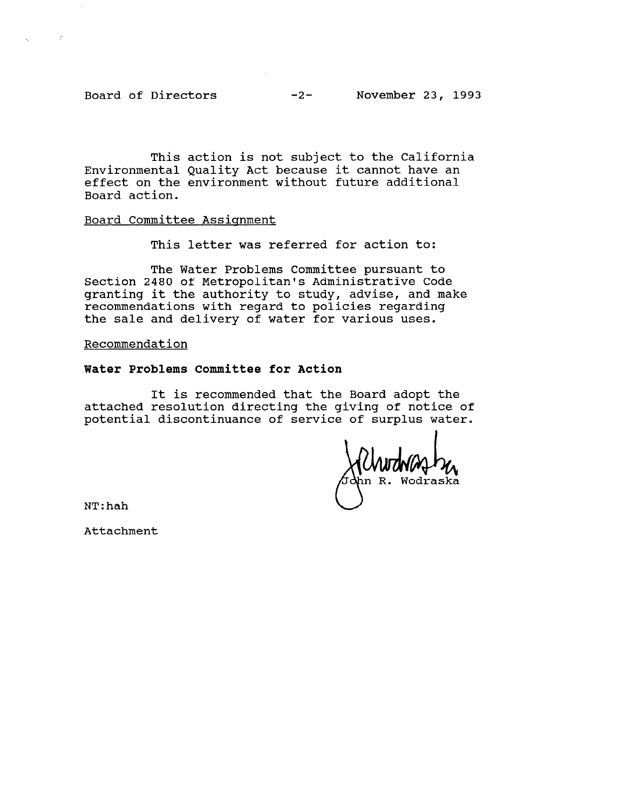$\sim 10^6$ 

This action is not subject to the California Environmental Quality Act because it cannot have an effect on the environment without future additional Board action.

## Board Committee Assignment

This letter was referred for action to:

The Water Problems Committee pursuant to Section 2480 of Metropolitan's Administrative Code granting it the authority to study, advise, and make recommendations with regard to policies regarding the sale and delivery of water for various uses.

### Recommendation

# Water Problems Committee for Action

It is recommended that the Board adopt the attached resolution directing the giving of notice of potential discontinuance of service of surplus water.

Wodraska

NT:hah

Attachment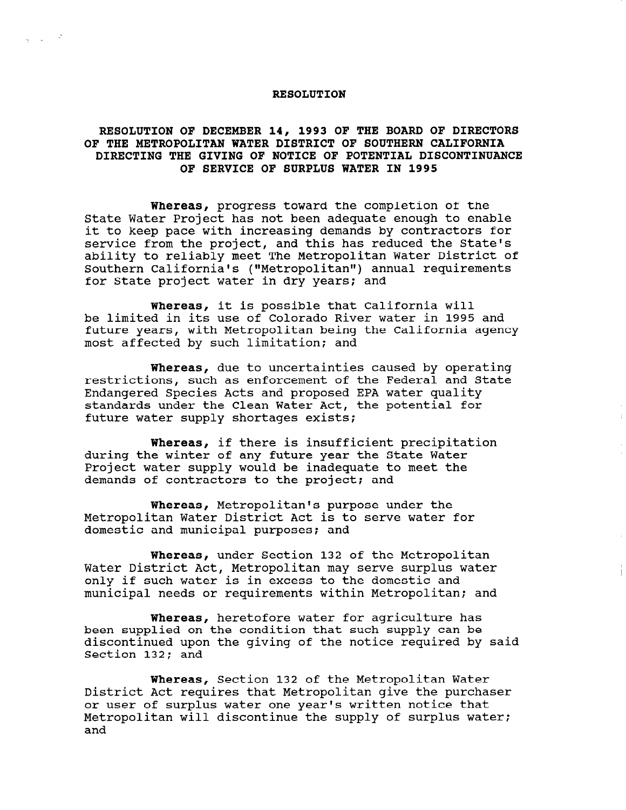#### RESOLUTION

 $\frac{1}{2} \left( \frac{1}{2} \right) \frac{1}{2} \left( \frac{1}{2} \right) \frac{1}{2}$ 

## RESOLUTION OF DECEMBER 14, 1993 OF THE BOARD OF DIRECTORS OF THE METROPOLITAN WATER DISTRICT OF SOUTHERN CALIFORNIA DIRECTING THE GIVING OF NOTICE OF POTENTIAL DISCONTINUANCE OF SERVICE OF SURPLUS WATER IN 1995

Whereas, progress toward the completion of the State Water Project has not been adequate enough to enable it to keep pace with increasing demands by contractors for service from the project, and this has reduced the State's ability to reliably meet The Metropolitan Water District of Southern California's ("Metropolitan") annual requirements for State project water in dry years; and

Whereas, it is possible that California will be limited in its use of Colorado River water in 1995 and future years, with Metropolitan being the California agency most affected by such limitation; and

Whereas, due to uncertainties caused by operating restrictions, such as enforcement of the Federal and State Endangered Species Acts and proposed EPA water quality standards under the Clean Water Act, the potential for future water supply shortages exists:

Whereas, if there is insufficient precipitation during the winter of any future year the State Water Project water supply would be inadequate to meet the demands of contractors to the project; and

Whereas, Metropolitan's purpose under the Metropolitan Water District Act is to serve water for domestic and municipal purposes; and

Whereas, under Section 132 of the Metropolitan Water District Act, Metropolitan may serve surplus water only if such water is in excess to the domestic and municipal needs or requirements within Metropolitan; and

Whereas, heretofore water for agriculture has been supplied on the condition that such supply can be discontinued upon the giving of the notice required by said aiscontinuea upo

Whereas, Section 132 of the Metropolitan Water whereas, Section 132 of the metropolitan water pistrict Act requires that metropolitan give the purch Of user Of surplus water one year's written notice that nec<br>---